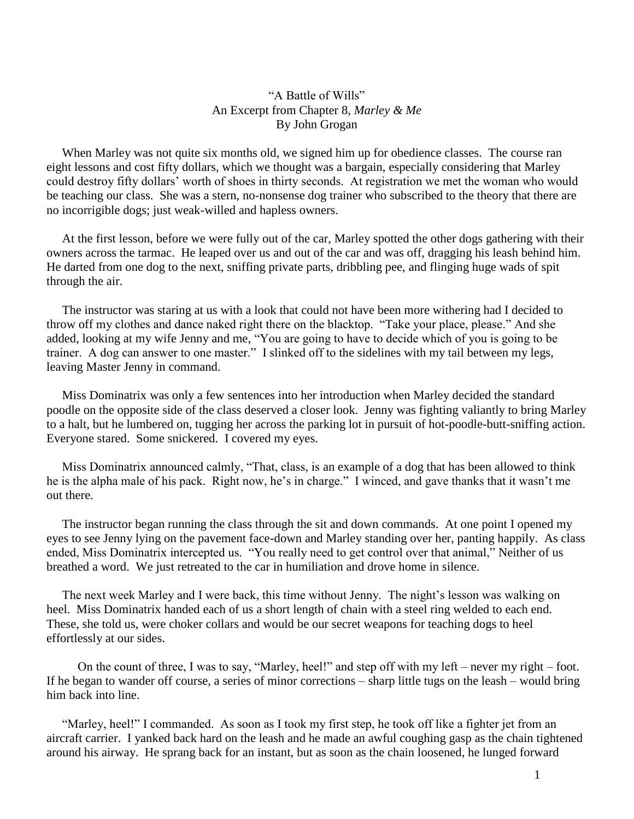## "A Battle of Wills" An Excerpt from Chapter 8, *Marley & Me* By John Grogan

 When Marley was not quite six months old, we signed him up for obedience classes. The course ran eight lessons and cost fifty dollars, which we thought was a bargain, especially considering that Marley could destroy fifty dollars' worth of shoes in thirty seconds. At registration we met the woman who would be teaching our class. She was a stern, no-nonsense dog trainer who subscribed to the theory that there are no incorrigible dogs; just weak-willed and hapless owners.

 At the first lesson, before we were fully out of the car, Marley spotted the other dogs gathering with their owners across the tarmac. He leaped over us and out of the car and was off, dragging his leash behind him. He darted from one dog to the next, sniffing private parts, dribbling pee, and flinging huge wads of spit through the air.

 The instructor was staring at us with a look that could not have been more withering had I decided to throw off my clothes and dance naked right there on the blacktop. "Take your place, please." And she added, looking at my wife Jenny and me, "You are going to have to decide which of you is going to be trainer. A dog can answer to one master." I slinked off to the sidelines with my tail between my legs, leaving Master Jenny in command.

 Miss Dominatrix was only a few sentences into her introduction when Marley decided the standard poodle on the opposite side of the class deserved a closer look. Jenny was fighting valiantly to bring Marley to a halt, but he lumbered on, tugging her across the parking lot in pursuit of hot-poodle-butt-sniffing action. Everyone stared. Some snickered. I covered my eyes.

 Miss Dominatrix announced calmly, "That, class, is an example of a dog that has been allowed to think he is the alpha male of his pack. Right now, he's in charge." I winced, and gave thanks that it wasn't me out there.

 The instructor began running the class through the sit and down commands. At one point I opened my eyes to see Jenny lying on the pavement face-down and Marley standing over her, panting happily. As class ended, Miss Dominatrix intercepted us. "You really need to get control over that animal," Neither of us breathed a word. We just retreated to the car in humiliation and drove home in silence.

 The next week Marley and I were back, this time without Jenny. The night's lesson was walking on heel. Miss Dominatrix handed each of us a short length of chain with a steel ring welded to each end. These, she told us, were choker collars and would be our secret weapons for teaching dogs to heel effortlessly at our sides.

 On the count of three, I was to say, "Marley, heel!" and step off with my left – never my right – foot. If he began to wander off course, a series of minor corrections – sharp little tugs on the leash – would bring him back into line.

 "Marley, heel!" I commanded. As soon as I took my first step, he took off like a fighter jet from an aircraft carrier. I yanked back hard on the leash and he made an awful coughing gasp as the chain tightened around his airway. He sprang back for an instant, but as soon as the chain loosened, he lunged forward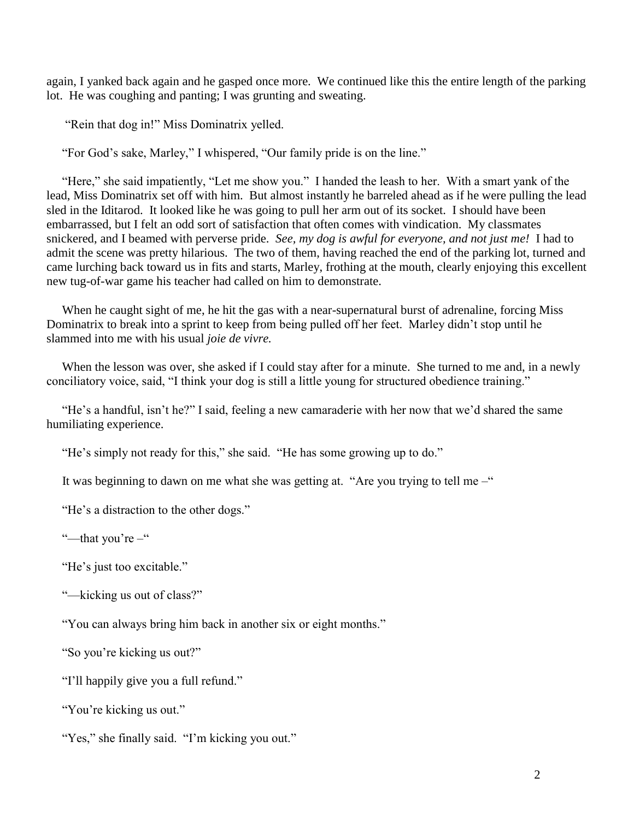again, I yanked back again and he gasped once more. We continued like this the entire length of the parking lot. He was coughing and panting; I was grunting and sweating.

"Rein that dog in!" Miss Dominatrix yelled.

"For God's sake, Marley," I whispered, "Our family pride is on the line."

 "Here," she said impatiently, "Let me show you." I handed the leash to her. With a smart yank of the lead, Miss Dominatrix set off with him. But almost instantly he barreled ahead as if he were pulling the lead sled in the Iditarod. It looked like he was going to pull her arm out of its socket. I should have been embarrassed, but I felt an odd sort of satisfaction that often comes with vindication. My classmates snickered, and I beamed with perverse pride. *See, my dog is awful for everyone, and not just me!* I had to admit the scene was pretty hilarious. The two of them, having reached the end of the parking lot, turned and came lurching back toward us in fits and starts, Marley, frothing at the mouth, clearly enjoying this excellent new tug-of-war game his teacher had called on him to demonstrate.

 When he caught sight of me, he hit the gas with a near-supernatural burst of adrenaline, forcing Miss Dominatrix to break into a sprint to keep from being pulled off her feet. Marley didn't stop until he slammed into me with his usual *joie de vivre.*

When the lesson was over, she asked if I could stay after for a minute. She turned to me and, in a newly conciliatory voice, said, "I think your dog is still a little young for structured obedience training."

 "He's a handful, isn't he?" I said, feeling a new camaraderie with her now that we'd shared the same humiliating experience.

"He's simply not ready for this," she said. "He has some growing up to do."

It was beginning to dawn on me what she was getting at. "Are you trying to tell me  $-\mathbf{``}$ 

"He's a distraction to the other dogs."

"—that you're –"

"He's just too excitable."

"—kicking us out of class?"

"You can always bring him back in another six or eight months."

"So you're kicking us out?"

"I'll happily give you a full refund."

"You're kicking us out."

"Yes," she finally said. "I'm kicking you out."